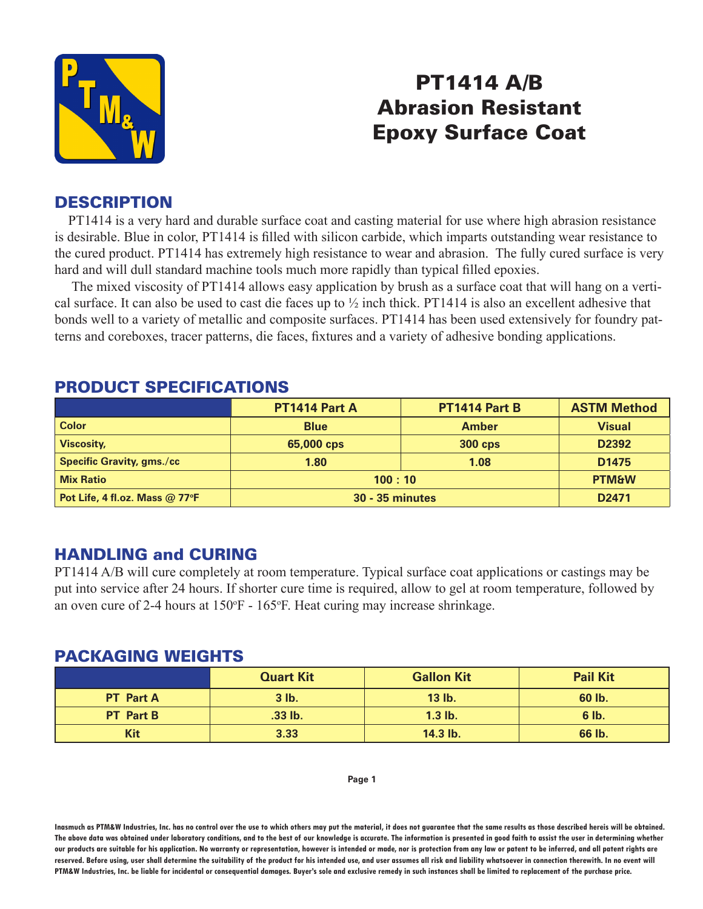

# PT1414 A/B Abrasion Resistant Epoxy Surface Coat

# **DESCRIPTION**

 PT1414 is a very hard and durable surface coat and casting material for use where high abrasion resistance is desirable. Blue in color, PT1414 is filled with silicon carbide, which imparts outstanding wear resistance to the cured product. PT1414 has extremely high resistance to wear and abrasion. The fully cured surface is very hard and will dull standard machine tools much more rapidly than typical filled epoxies.

 The mixed viscosity of PT1414 allows easy application by brush as a surface coat that will hang on a vertical surface. It can also be used to cast die faces up to ½ inch thick. PT1414 is also an excellent adhesive that bonds well to a variety of metallic and composite surfaces. PT1414 has been used extensively for foundry patterns and coreboxes, tracer patterns, die faces, fixtures and a variety of adhesive bonding applications.

|                                  | PT1414 Part A          | <b>PT1414 Part B</b> | <b>ASTM Method</b> |
|----------------------------------|------------------------|----------------------|--------------------|
| <b>Color</b>                     | <b>Blue</b>            | <b>Amber</b>         | <b>Visual</b>      |
| <b>Viscosity,</b>                | 65,000 cps             | <b>300 cps</b>       | D2392              |
| <b>Specific Gravity, gms./cc</b> | 1.80                   | 1.08                 | D <sub>1475</sub>  |
| <b>Mix Ratio</b>                 | 100:10                 |                      | <b>PTM&amp;W</b>   |
| Pot Life, 4 fl.oz. Mass @ 77°F   | <b>30 - 35 minutes</b> |                      | D <sub>2471</sub>  |

### PRODUCT SPECIFICATIONS

# HANDLING and CURING

PT1414 A/B will cure completely at room temperature. Typical surface coat applications or castings may be put into service after 24 hours. If shorter cure time is required, allow to gel at room temperature, followed by an oven cure of 2-4 hours at  $150^{\circ}F - 165^{\circ}F$ . Heat curing may increase shrinkage.

#### PACKAGING WEIGHTS

|                  | <b>Quart Kit</b> | <b>Gallon Kit</b> | <b>Pail Kit</b> |
|------------------|------------------|-------------------|-----------------|
| <b>PT</b> Part A | $3$ $lb.$        | 13 lb.            | 60 lb.          |
| <b>PT</b> Part B | $.33$ lb.        | $1.3$ lb.         | $6$ lb.         |
| Kit              | 3.33             | 14.3 lb.          | 66 lb.          |

#### **Page 1**

**Inasmuch as PTM&W Industries, Inc. has no control over the use to which others may put the material, it does not guarantee that the same results as those described hereis will be obtained. The above data was obtained under laboratory conditions, and to the best of our knowledge is accurate. The information is presented in good faith to assist the user in determining whether our products are suitable for his application. No warranty or representation, however is intended or made, nor is protection from any law or patent to be inferred, and all patent rights are**  reserved. Before using, user shall determine the suitability of the product for his intended use, and user assumes all risk and liability whatsoever in connection therewith. In no event will **PTM&W Industries, Inc. be liable for incidental or consequential damages. Buyer's sole and exclusive remedy in such instances shall be limited to replacement of the purchase price.**